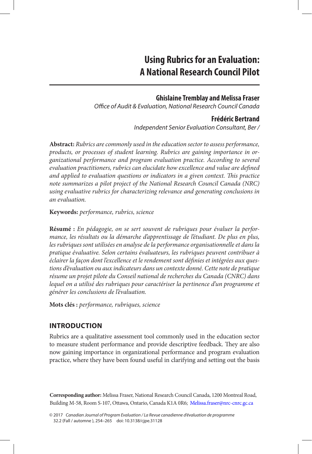# **Ghislaine Tremblay and Melissa Fraser**

*Office of Audit & Evaluation, National Research Council Canada*

# **Frédéric Bertrand**

*Independent Senior Evaluation Consultant, Ber /*

**Abstract:** *Rubrics are commonly used in the education sector to assess performance, products, or processes of student learning. Rubrics are gaining importance in organizational performance and program evaluation practice. According to several evaluation practitioners, rubrics can elucidate how excellence and value are defined and applied to evaluation questions or indicators in a given context. This practice note summarizes a pilot project of the National Research Council Canada (NRC) using evaluative rubrics for characterizing relevance and generating conclusions in an evaluation.*

**Keywords:** *performance, rubrics, science*

**Résumé :** *En pédagogie, on se sert souvent de rubriques pour évaluer la performance, les résultats ou la démarche d'apprentissage de l'étudiant. De plus en plus, les rubriques sont utilisées en analyse de la performance organisationnelle et dans la pratique évaluative. Selon certains évaluateurs, les rubriques peuvent contribuer à éclairer la façon dont l'excellence et le rendement sont définies et intégrées aux questions d'évaluation ou aux indicateurs dans un contexte donné. Cette note de pratique résume un projet pilote du Conseil national de recherches du Canada (CNRC) dans lequel on a utilisé des rubriques pour caractériser la pertinence d'un programme et générer les conclusions de l'évaluation.*

**Mots clés :** *performance, rubriques, science*

# **INTRODUCTION**

Rubrics are a qualitative assessment tool commonly used in the education sector to measure student performance and provide descriptive feedback. They are also now gaining importance in organizational performance and program evaluation practice, where they have been found useful in clarifying and setting out the basis

**Corresponding author:** Melissa Fraser, National Research Council Canada, 1200 Montreal Road, Building M-58, Room S-107, Ottawa, Ontario, Canada K1A 0R6; [Melissa.fraser@nrc-cnrc.gc.ca](mailto:Melissa.fraser@nrc-cnrc.gc.ca)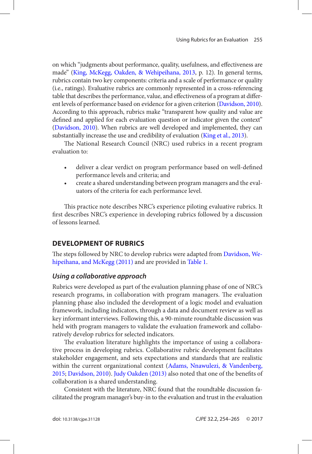<span id="page-1-0"></span>on which "judgments about performance, quality, usefulness, and effectiveness are made" ([King, McKegg, Oakden, & Wehipeihana, 2013](#page-11-0), p. 12). In general terms, rubrics contain two key components: criteria and a scale of performance or quality (i.e., ratings). Evaluative rubrics are commonly represented in a cross-referencing table that describes the performance, value, and effectiveness of a program at different levels of performance based on evidence for a given criterion ([Davidson, 2010](#page-10-0)). According to this approach, rubrics make "transparent how quality and value are defined and applied for each evaluation question or indicator given the context" ([Davidson, 2010](#page-10-0)). When rubrics are well developed and implemented, they can substantially increase the use and credibility of evaluation ([King et al., 2013](#page-11-0)).

The National Research Council (NRC) used rubrics in a recent program evaluation to:

- deliver a clear verdict on program performance based on well-defined performance levels and criteria; and
- create a shared understanding between program managers and the evaluators of the criteria for each performance level.

This practice note describes NRC's experience piloting evaluative rubrics. It first describes NRC's experience in developing rubrics followed by a discussion of lessons learned.

# **Development of Rubrics**

The steps followed by NRC to develop rubrics were adapted from [Davidson, We](#page-10-0)[hipeihana, and McKegg \(2011\)](#page-10-0) and are provided in [Table 1](#page-2-0).

# *Using a collaborative approach*

Rubrics were developed as part of the evaluation planning phase of one of NRC's research programs, in collaboration with program managers. The evaluation planning phase also included the development of a logic model and evaluation framework, including indicators, through a data and document review as well as key informant interviews. Following this, a 90-minute roundtable discussion was held with program managers to validate the evaluation framework and collaboratively develop rubrics for selected indicators.

The evaluation literature highlights the importance of using a collaborative process in developing rubrics. Collaborative rubric development facilitates stakeholder engagement, and sets expectations and standards that are realistic within the current organizational context ([Adams, Nnawulezi, & Vandenberg,](#page-10-0) [2015](#page-10-0); [Davidson, 2010](#page-10-0)). [Judy Oakden \(2013\)](#page-11-0) also noted that one of the benefits of collaboration is a shared understanding.

Consistent with the literature, NRC found that the roundtable discussion facilitated the program manager's buy-in to the evaluation and trust in the evaluation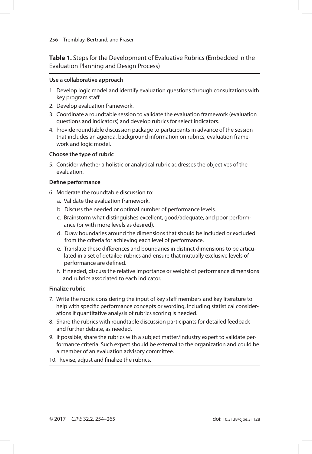<span id="page-2-0"></span>**Table 1.** Steps for the Development of Evaluative Rubrics (Embedded in the Evaluation Planning and Design Process)

#### **Use a collaborative approach**

- 1. Develop logic model and identify evaluation questions through consultations with key program staff.
- 2. Develop evaluation framework.
- 3. Coordinate a roundtable session to validate the evaluation framework (evaluation questions and indicators) and develop rubrics for select indicators.
- 4. Provide roundtable discussion package to participants in advance of the session that includes an agenda, background information on rubrics, evaluation framework and logic model.

#### **Choose the type of rubric**

5. Consider whether a holistic or analytical rubric addresses the objectives of the evaluation.

#### **Define performance**

- 6. Moderate the roundtable discussion to:
	- a. Validate the evaluation framework.
	- b. Discuss the needed or optimal number of performance levels.
	- c. Brainstorm what distinguishes excellent, good/adequate, and poor performance (or with more levels as desired).
	- d. Draw boundaries around the dimensions that should be included or excluded from the criteria for achieving each level of performance.
	- e. Translate these differences and boundaries in distinct dimensions to be articulated in a set of detailed rubrics and ensure that mutually exclusive levels of performance are defined.
	- f. If needed, discuss the relative importance or weight of performance dimensions and rubrics associated to each indicator.

#### **Finalize rubric**

- 7. Write the rubric considering the input of key staff members and key literature to help with specific performance concepts or wording, including statistical considerations if quantitative analysis of rubrics scoring is needed.
- 8. Share the rubrics with roundtable discussion participants for detailed feedback and further debate, as needed.
- 9. If possible, share the rubrics with a subject matter/industry expert to validate performance criteria. Such expert should be external to the organization and could be a member of an evaluation advisory committee.
- 10. Revise, adjust and finalize the rubrics.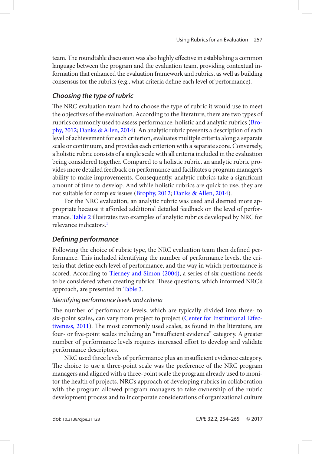<span id="page-3-0"></span>team. The roundtable discussion was also highly effective in establishing a common language between the program and the evaluation team, providing contextual information that enhanced the evaluation framework and rubrics, as well as building consensus for the rubrics (e.g., what criteria define each level of performance).

# *Choosing the type of rubric*

The NRC evaluation team had to choose the type of rubric it would use to meet the objectives of the evaluation. According to the literature, there are two types of rubrics commonly used to assess performance: holistic and analytic rubrics ([Bro](#page-10-0)[phy, 2012](#page-10-0); [Danks & Allen, 2014](#page-10-0)). An analytic rubric presents a description of each level of achievement for each criterion, evaluates multiple criteria along a separate scale or continuum, and provides each criterion with a separate score. Conversely, a holistic rubric consists of a single scale with all criteria included in the evaluation being considered together. Compared to a holistic rubric, an analytic rubric provides more detailed feedback on performance and facilitates a program manager's ability to make improvements. Consequently, analytic rubrics take a significant amount of time to develop. And while holistic rubrics are quick to use, they are not suitable for complex issues ([Brophy, 2012](#page-10-0); [Danks & Allen, 2014](#page-10-0)).

For the NRC evaluation, an analytic rubric was used and deemed more appropriate because it afforded additional detailed feedback on the level of performance. [Table 2](#page-4-0) illustrates two examples of analytic rubrics developed by NRC for relevance indicators.<sup>1</sup>

# *Defining performance*

Following the choice of rubric type, the NRC evaluation team then defined performance. This included identifying the number of performance levels, the criteria that define each level of performance, and the way in which performance is scored. According to [Tierney and Simon \(2004\)](#page-11-0), a series of six questions needs to be considered when creating rubrics. These questions, which informed NRC's approach, are presented in [Table 3](#page-6-0).

## *Identifying performance levels and criteria*

The number of performance levels, which are typically divided into three- to six-point scales, can vary from project to project ([Center for Institutional Effec](#page-10-0)[tiveness, 2011](#page-10-0)). The most commonly used scales, as found in the literature, are four- or five-point scales including an "insufficient evidence" category. A greater number of performance levels requires increased effort to develop and validate performance descriptors.

NRC used three levels of performance plus an insufficient evidence category. The choice to use a three-point scale was the preference of the NRC program managers and aligned with a three-point scale the program already used to monitor the health of projects. NRC's approach of developing rubrics in collaboration with the program allowed program managers to take ownership of the rubric development process and to incorporate considerations of organizational culture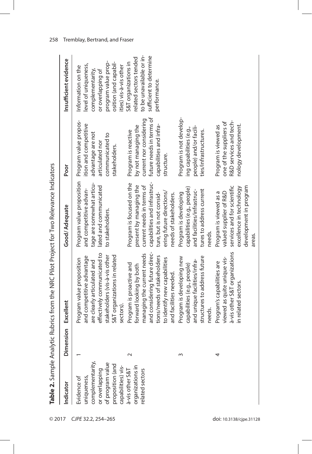<span id="page-4-0"></span>

| Indicator                              | Dimension | Excellent                                            | Good/Adequate                                           | Poor                                          | Insufficient evidence                           |
|----------------------------------------|-----------|------------------------------------------------------|---------------------------------------------------------|-----------------------------------------------|-------------------------------------------------|
| Evidence of                            |           | Program value proposition                            | Program value proposition                               | Program value propos-                         | Information on the                              |
| uniqueness,                            |           | and competitive advantage                            | and competitive advan-                                  | ition and competitive                         | level of uniqueness,                            |
| complementarity,                       |           | are clearly articulated and                          | tage are somewhat articu-                               | advantage are not                             | complementarity                                 |
| or overlapping                         |           | effectively communicated to                          | lated and communicated                                  | articulated nor                               | or overlapping of                               |
| of program value                       |           | stakeholders (vis-à-vis other                        | to stakeholders.                                        | communicated to                               | program value prop-                             |
| proposition (and<br>capabilities) vis- |           | S&T organizations in related<br>sectors)             |                                                         | stakeholders.                                 | osition (and capabil-<br>ities) vis-à-vis other |
| à-vis other S&T                        | $\sim$    | Program is proactive and                             | Program is focused on the                               | Program is reactive                           | S&T organizations in                            |
| organizations in                       |           | forward looking by both                              | present by managing the                                 | by not managing the                           | related sectors tended                          |
| related sectors                        |           | managing the current needs                           | current needs in terms of                               | current nor considering                       | to be unavailable or in-                        |
|                                        |           | and considering future direc-                        | capabilities and infrastruc-                            | future needs in terms of                      | sufficient to determine                         |
|                                        |           | tions/needs of stakeholders                          | ture, but is not consid-                                | capabilities and infra-                       | performance.                                    |
|                                        |           | to identify new capabilities                         | ering future directions/                                | structure.                                    |                                                 |
|                                        |           | and facilities needed.                               | needs of stakeholders.                                  |                                               |                                                 |
|                                        | S         | Program is developing new                            | Program is developing                                   | Program is not develop-                       |                                                 |
|                                        |           | capabilities (e.g., people)                          | capabilities (e.g., people)                             | ing capabilities (e.g.,                       |                                                 |
|                                        |           | and unique facilities/infra-                         | and facilities/infrastruc-                              | people) and/or facili-                        |                                                 |
|                                        |           | structures to address future                         | tures to address current                                | ties/infrastructures.                         |                                                 |
|                                        |           | needs.                                               | needs.                                                  |                                               |                                                 |
|                                        | 4         | Program's capabilities are                           | Program is viewed as a                                  | Program is viewed as                          |                                                 |
|                                        |           | viewed as quite unique vis-                          | valued supplier of R&D                                  | one of the suppliers of                       |                                                 |
|                                        |           | à-vis other S&T organizations<br>in related sectors. | services and for scientific<br>excellence in technology | R&D services and tech-<br>nology development. |                                                 |
|                                        |           |                                                      |                                                         |                                               |                                                 |
|                                        |           |                                                      | development in program                                  |                                               |                                                 |
|                                        |           |                                                      | areas.                                                  |                                               |                                                 |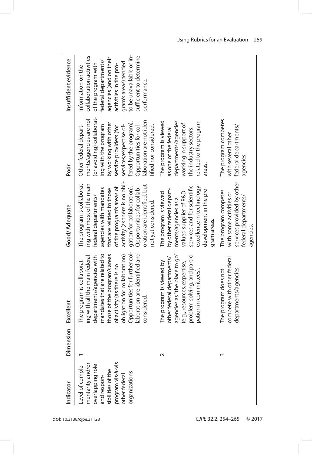| ndicator                                                                                                                                           | Dimension | Excellent                                                                                                                                                                                                                                                                                                   | Good/Adequate                                                                                                                                                                                                                                                                                                          | Poor                                                                                                                                                                                                                                                                                        | Insufficient evidence                                                                                                                                                                                                                            |
|----------------------------------------------------------------------------------------------------------------------------------------------------|-----------|-------------------------------------------------------------------------------------------------------------------------------------------------------------------------------------------------------------------------------------------------------------------------------------------------------------|------------------------------------------------------------------------------------------------------------------------------------------------------------------------------------------------------------------------------------------------------------------------------------------------------------------------|---------------------------------------------------------------------------------------------------------------------------------------------------------------------------------------------------------------------------------------------------------------------------------------------|--------------------------------------------------------------------------------------------------------------------------------------------------------------------------------------------------------------------------------------------------|
| orogram vis-à-vis<br>Level of comple-<br>mentarity and/or<br>overlapping role<br>and respon-<br>sibilities of the<br>organizations<br>ther federal |           | Opportunities for further col-<br>obligation for collaboration).<br>laboration are identified and<br>mandates that are related to<br>those of the program's areas<br>ing with all the main federal<br>departments/agencies with<br>The program is collaborat-<br>of activity (as there is no<br>considered. | activity (as there is no obli-<br>The program is collaborat-<br>ing with most of the main<br>federal departments/<br>oration are identified, but<br>gation for collaboration).<br>of the program's areas of<br>Opportunities for collab-<br>agencies with mandates<br>that are related to those<br>not yet considered. | (or avoiding) collaborat-<br>ments/agencies are not<br>laboration are not iden-<br>fered by the program).<br>by working with other<br>Opportunities for col-<br>Other federal depart-<br>ing with the program<br>services/expertise of-<br>service providers (for<br>tified nor considered. | to be unavailable or in-<br>sufficient to determine<br>collaboration activities<br>agencies (and on their<br>federal departments/<br>gram's areas) tended<br>of the program with<br>activities in the pro-<br>Information on the<br>performance. |
|                                                                                                                                                    | $\sim$    | problem solving, and partici-<br>agencies as "the place to go"<br>other federal departments/<br>The program is viewed by<br>(e.g., resources, expertise,<br>pation in committees).                                                                                                                          | services and for scientific<br>excellence in technology<br>development in the pro-<br>by other federal depart-<br>The program is viewed<br>valued supplier of R&D<br>ments/agencies as a<br>gram areas.                                                                                                                | The program is viewed<br>departments/agencies<br>related to the program<br>working in support of<br>as one of the federal<br>the industry sectors<br>areas.                                                                                                                                 |                                                                                                                                                                                                                                                  |
|                                                                                                                                                    | S         | compete with other federal<br>departments/agencies.<br>The program does not                                                                                                                                                                                                                                 | services provided by other<br>The program competes<br>with some activities or<br>federal departments/<br>agencies.                                                                                                                                                                                                     | The program competes<br>federal departments/<br>with several other<br>agencies.                                                                                                                                                                                                             |                                                                                                                                                                                                                                                  |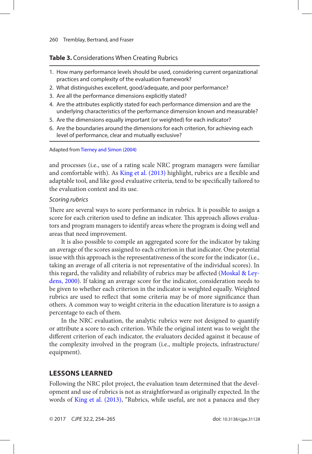### <span id="page-6-0"></span>**Table 3.** Considerations When Creating Rubrics

- 1. How many performance levels should be used, considering current organizational practices and complexity of the evaluation framework?
- 2. What distinguishes excellent, good/adequate, and poor performance?
- 3. Are all the performance dimensions explicitly stated?
- 4. Are the attributes explicitly stated for each performance dimension and are the underlying characteristics of the performance dimension known and measurable?
- 5. Are the dimensions equally important (or weighted) for each indicator?
- 6. Are the boundaries around the dimensions for each criterion, for achieving each level of performance, clear and mutually exclusive?

Adapted from [Tierney and Simon \(2004\)](#page-11-0)

and processes (i.e., use of a rating scale NRC program managers were familiar and comfortable with). As [King et al. \(2013\)](#page-11-0) highlight, rubrics are a flexible and adaptable tool, and like good evaluative criteria, tend to be specifically tailored to the evaluation context and its use.

#### *Scoring rubrics*

There are several ways to score performance in rubrics. It is possible to assign a score for each criterion used to define an indicator. This approach allows evaluators and program managers to identify areas where the program is doing well and areas that need improvement.

It is also possible to compile an aggregated score for the indicator by taking an average of the scores assigned to each criterion in that indicator. One potential issue with this approach is the representativeness of the score for the indicator (i.e., taking an average of all criteria is not representative of the individual scores). In this regard, the validity and reliability of rubrics may be affected ([Moskal & Ley](#page-11-0)[dens, 2000\)](#page-11-0). If taking an average score for the indicator, consideration needs to be given to whether each criterion in the indicator is weighted equally. Weighted rubrics are used to reflect that some criteria may be of more significance than others. A common way to weight criteria in the education literature is to assign a percentage to each of them.

In the NRC evaluation, the analytic rubrics were not designed to quantify or attribute a score to each criterion. While the original intent was to weight the different criterion of each indicator, the evaluators decided against it because of the complexity involved in the program (i.e., multiple projects, infrastructure/ equipment).

## **Lessons Learned**

Following the NRC pilot project, the evaluation team determined that the development and use of rubrics is not as straightforward as originally expected. In the words of [King et al. \(2013\),](#page-11-0) "Rubrics, while useful, are not a panacea and they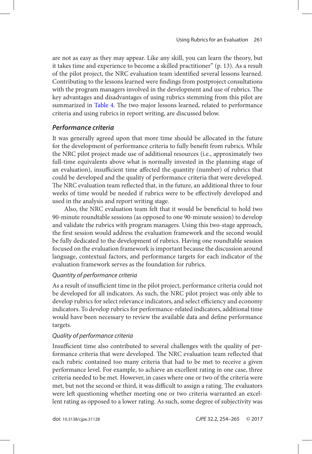are not as easy as they may appear. Like any skill, you can learn the theory, but it takes time and experience to become a skilled practitioner" (p. 13). As a result of the pilot project, the NRC evaluation team identified several lessons learned. Contributing to the lessons learned were findings from postproject consultations with the program managers involved in the development and use of rubrics. The key advantages and disadvantages of using rubrics stemming from this pilot are summarized in [Table 4](#page-8-0). The two major lessons learned, related to performance criteria and using rubrics in report writing, are discussed below.

## *Performance criteria*

It was generally agreed upon that more time should be allocated in the future for the development of performance criteria to fully benefit from rubrics. While the NRC pilot project made use of additional resources (i.e., approximately two full-time equivalents above what is normally invested in the planning stage of an evaluation), insufficient time affected the quantity (number) of rubrics that could be developed and the quality of performance criteria that were developed. The NRC evaluation team reflected that, in the future, an additional three to four weeks of time would be needed if rubrics were to be effectively developed and used in the analysis and report writing stage.

Also, the NRC evaluation team felt that it would be beneficial to hold two 90-minute roundtable sessions (as opposed to one 90-minute session) to develop and validate the rubrics with program managers. Using this two-stage approach, the first session would address the evaluation framework and the second would be fully dedicated to the development of rubrics. Having one roundtable session focused on the evaluation framework is important because the discussion around language, contextual factors, and performance targets for each indicator of the evaluation framework serves as the foundation for rubrics.

## *Quantity of performance criteria*

As a result of insufficient time in the pilot project, performance criteria could not be developed for all indicators. As such, the NRC pilot project was only able to develop rubrics for select relevance indicators, and select efficiency and economy indicators. To develop rubrics for performance-related indicators, additional time would have been necessary to review the available data and define performance targets.

## *Quality of performance criteria*

Insufficient time also contributed to several challenges with the quality of performance criteria that were developed. The NRC evaluation team reflected that each rubric contained too many criteria that had to be met to receive a given performance level. For example, to achieve an excellent rating in one case, three criteria needed to be met. However, in cases where one or two of the criteria were met, but not the second or third, it was difficult to assign a rating. The evaluators were left questioning whether meeting one or two criteria warranted an excellent rating as opposed to a lower rating. As such, some degree of subjectivity was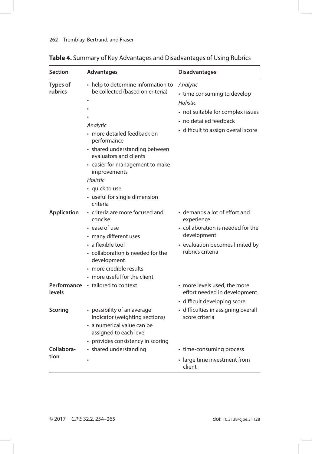| <b>Section</b>             | Advantages                                                                                                                                                                                                                                                                                                     | <b>Disadvantages</b>                                                                                                                                      |
|----------------------------|----------------------------------------------------------------------------------------------------------------------------------------------------------------------------------------------------------------------------------------------------------------------------------------------------------------|-----------------------------------------------------------------------------------------------------------------------------------------------------------|
| <b>Types of</b><br>rubrics | • help to determine information to<br>be collected (based on criteria)<br>Analytic<br>· more detailed feedback on<br>performance<br>• shared understanding between<br>evaluators and clients<br>• easier for management to make<br>improvements<br>Holistic<br>• quick to use<br>• useful for single dimension | Analytic<br>• time consuming to develop<br>Holistic<br>• not suitable for complex issues<br>• no detailed feedback<br>• difficult to assign overall score |
| <b>Application</b>         | criteria<br>• criteria are more focused and<br>concise<br>• ease of use<br>• many different uses<br>• a flexible tool<br>• collaboration is needed for the<br>development<br>• more credible results<br>• more useful for the client                                                                           | • demands a lot of effort and<br>experience<br>• collaboration is needed for the<br>development<br>• evaluation becomes limited by<br>rubrics criteria    |
| levels                     | <b>Performance</b> • tailored to context                                                                                                                                                                                                                                                                       | • more levels used, the more<br>effort needed in development<br>· difficult developing score                                                              |
| <b>Scoring</b>             | • possibility of an average<br>indicator (weighting sections)<br>· a numerical value can be<br>assigned to each level<br>• provides consistency in scoring                                                                                                                                                     | · difficulties in assigning overall<br>score criteria                                                                                                     |
| Collabora-<br>tion         | • shared understanding                                                                                                                                                                                                                                                                                         | • time-consuming process<br>• large time investment from<br>client                                                                                        |

# <span id="page-8-0"></span>**Table 4.** Summary of Key Advantages and Disadvantages of Using Rubrics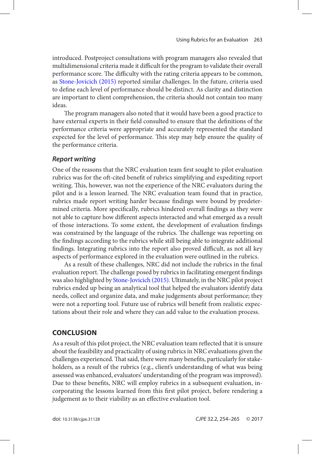<span id="page-9-0"></span>introduced. Postproject consultations with program managers also revealed that multidimensional criteria made it difficult for the program to validate their overall performance score. The difficulty with the rating criteria appears to be common, as [Stone-Jovicich \(2015\)](#page-11-0) reported similar challenges. In the future, criteria used to define each level of performance should be distinct. As clarity and distinction are important to client comprehension, the criteria should not contain too many ideas.

The program managers also noted that it would have been a good practice to have external experts in their field consulted to ensure that the definitions of the performance criteria were appropriate and accurately represented the standard expected for the level of performance. This step may help ensure the quality of the performance criteria.

### *Report writing*

One of the reasons that the NRC evaluation team first sought to pilot evaluation rubrics was for the oft-cited benefit of rubrics simplifying and expediting report writing. This, however, was not the experience of the NRC evaluators during the pilot and is a lesson learned. The NRC evaluation team found that in practice, rubrics made report writing harder because findings were bound by predetermined criteria. More specifically, rubrics hindered overall findings as they were not able to capture how different aspects interacted and what emerged as a result of those interactions. To some extent, the development of evaluation findings was constrained by the language of the rubrics. The challenge was reporting on the findings according to the rubrics while still being able to integrate additional findings. Integrating rubrics into the report also proved difficult, as not all key aspects of performance explored in the evaluation were outlined in the rubrics.

As a result of these challenges, NRC did not include the rubrics in the final evaluation report. The challenge posed by rubrics in facilitating emergent findings was also highlighted by [Stone-Jovicich \(2015\)](#page-11-0). Ultimately, in the NRC pilot project rubrics ended up being an analytical tool that helped the evaluators identify data needs, collect and organize data, and make judgements about performance; they were not a reporting tool. Future use of rubrics will benefit from realistic expectations about their role and where they can add value to the evaluation process.

## **Conclusion**

As a result of this pilot project, the NRC evaluation team reflected that it is unsure about the feasibility and practicality of using rubrics in NRC evaluations given the challenges experienced. That said, there were many benefits, particularly for stakeholders, as a result of the rubrics (e.g., client's understanding of what was being assessed was enhanced, evaluators' understanding of the program was improved). Due to these benefits, NRC will employ rubrics in a subsequent evaluation, incorporating the lessons learned from this first pilot project, before rendering a judgement as to their viability as an effective evaluation tool.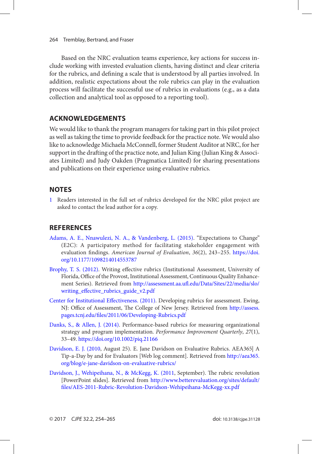<span id="page-10-0"></span>Based on the NRC evaluation teams experience, key actions for success include working with invested evaluation clients, having distinct and clear criteria for the rubrics, and defining a scale that is understood by all parties involved. In addition, realistic expectations about the role rubrics can play in the evaluation process will facilitate the successful use of rubrics in evaluations (e.g., as a data collection and analytical tool as opposed to a reporting tool).

# **Acknowledgements**

We would like to thank the program managers for taking part in this pilot project as well as taking the time to provide feedback for the practice note. We would also like to acknowledge Michaela McConnell, former Student Auditor at NRC, for her support in the drafting of the practice note, and Julian King (Julian King & Associates Limited) and Judy Oakden (Pragmatica Limited) for sharing presentations and publications on their experience using evaluative rubrics.

# **Notes**

[1](#page-3-0) Readers interested in the full set of rubrics developed for the NRC pilot project are asked to contact the lead author for a copy.

# **References**

- [Adams, A. E., Nnawulezi, N. A., & Vandenberg, L. \(2015\)](#page-1-0). "Expectations to Change" (E2C): A participatory method for facilitating stakeholder engagement with evaluation findings. *American Journal of Evaluation*, *36*(2), 243–255. [https://doi.](https://doi.org/10.1177/1098214014553787) [org/10.1177/1098214014553787](https://doi.org/10.1177/1098214014553787)
- [Brophy, T. S. \(2012\)](#page-3-0). Writing effective rubrics (Institutional Assessment, University of Florida, Office of the Provost, Institutional Assessment, Continuous Quality Enhancement Series). Retrieved from [http://assessment.aa.ufl.edu/Data/Sites/22/media/slo/](http://assessment.aa.ufl.edu/Data/Sites/22/media/slo/writing_effective_rubrics_guide_v2.pdf) [writing\\_effective\\_rubrics\\_guide\\_v2.pdf](http://assessment.aa.ufl.edu/Data/Sites/22/media/slo/writing_effective_rubrics_guide_v2.pdf)
- [Center for Institutional Effectiveness. \(2011\)](#page-3-0). Developing rubrics for assessment. Ewing, NJ: Office of Assessment, The College of New Jersey. Retrieved from [http://assess.](http://assess.pages.tcnj.edu/files/2011/06/Developing-Rubrics.pdf) [pages.tcnj.edu/files/2011/06/Developing-Rubrics.pdf](http://assess.pages.tcnj.edu/files/2011/06/Developing-Rubrics.pdf)
- [Danks, S., & Allen, J. \(2014\)](#page-3-0). Performance-based rubrics for measuring organizational strategy and program implementation. *Performance Improvement Quarterly*, *27*(1), 33–49.<https://doi.org/10.1002/piq.21166>
- [Davidson, E. J. \(2010](#page-1-0), August 25). E. Jane Davidson on Evaluative Rubrics. AEA365| A Tip-a-Day by and for Evaluators [Web log comment]. Retrieved from [http://aea365.](http://aea365.org/blog/e-jane-davidson-on-evaluative-rubrics/) [org/blog/e-jane-davidson-on-evaluative-rubrics/](http://aea365.org/blog/e-jane-davidson-on-evaluative-rubrics/)
- [Davidson, J., Wehipeihana, N., & McKegg, K. \(2011](#page-1-0), September). The rubric revolution [PowerPoint slides]. Retrieved from [http://www.betterevaluation.org/sites/default/](http://www.betterevaluation.org/sites/default/files/AES-2011-Rubric-Revolution-Davidson-Wehipeihana-McKegg-xx.pdf) [files/AES-2011-Rubric-Revolution-Davidson-Wehipeihana-McKegg-xx.pdf](http://www.betterevaluation.org/sites/default/files/AES-2011-Rubric-Revolution-Davidson-Wehipeihana-McKegg-xx.pdf)